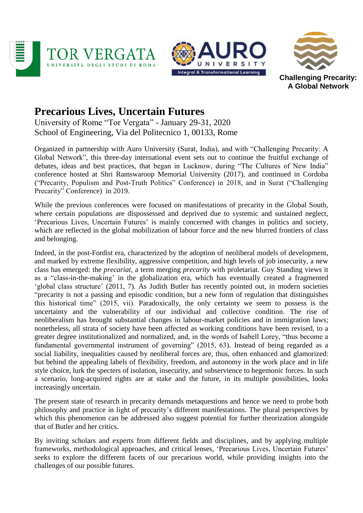





**Challenging Precarity: A Global Network**

## **Precarious Lives, Uncertain Futures**

University of Rome "Tor Vergata" - January 29-31, 2020 School of Engineering, Via del Politecnico 1, 00133, Rome

Organized in partnership with Auro University (Surat, India), and with "Challenging Precarity: A Global Network", this three-day international event sets out to continue the fruitful exchange of debates, ideas and best practices, that began in Lucknow, during "The Cultures of New India" conference hosted at Shri Ramswaroop Memorial University (2017), and continued in Cordoba ("Precarity, Populism and Post-Truth Politics" Conference) in 2018, and in Surat ("Challenging Precarity" Conference) in 2019.

While the previous conferences were focused on manifestations of precarity in the Global South, where certain populations are dispossessed and deprived due to systemic and sustained neglect, 'Precarious Lives, Uncertain Futures' is mainly concerned with changes in politics and society, which are reflected in the global mobilization of labour force and the new blurred frontiers of class and belonging.

Indeed, in the post-Fordist era, characterized by the adoption of neoliberal models of development, and marked by extreme flexibility, aggressive competition, and high levels of job insecurity, a new class has emerged: the *precariat*, a term merging *precarity* with proletariat. Guy Standing views it as a "class-in-the-making' in the globalization era, which has eventually created a fragmented 'global class structure' (2011, 7). As Judith Butler has recently pointed out, in modern societies "precarity is not a passing and episodic condition, but a new form of regulation that distinguishes this historical time" (2015, vii). Paradoxically, the only certainty we seem to possess is the uncertainty and the vulnerability of our individual and collective condition. The rise of neoliberalism has brought substantial changes in labour-market policies and in immigration laws; nonetheless, all strata of society have been affected as working conditions have been revised, to a greater degree institutionalized and normalized, and, in the words of Isabell Lorey, "thus become a fundamental governmental instrument of governing" (2015, 63). Instead of being regarded as a social liability, inequalities caused by neoliberal forces are, thus, often enhanced and glamorized: but behind the appealing labels of flexibility, freedom, and autonomy in the work place and in life style choice, lurk the specters of isolation, insecurity, and subservience to hegemonic forces. In such a scenario, long-acquired rights are at stake and the future, in its multiple possibilities, looks increasingly uncertain.

The present state of research in precarity demands metaquestions and hence we need to probe both philosophy and practice in light of precarity's different manifestations. The plural perspectives by which this phenomenon can be addressed also suggest potential for further theorization alongside that of Butler and her critics.

By inviting scholars and experts from different fields and disciplines, and by applying multiple frameworks, methodological approaches, and critical lenses, 'Precarious Lives, Uncertain Futures' seeks to explore the different facets of our precarious world, while providing insights into the challenges of our possible futures.